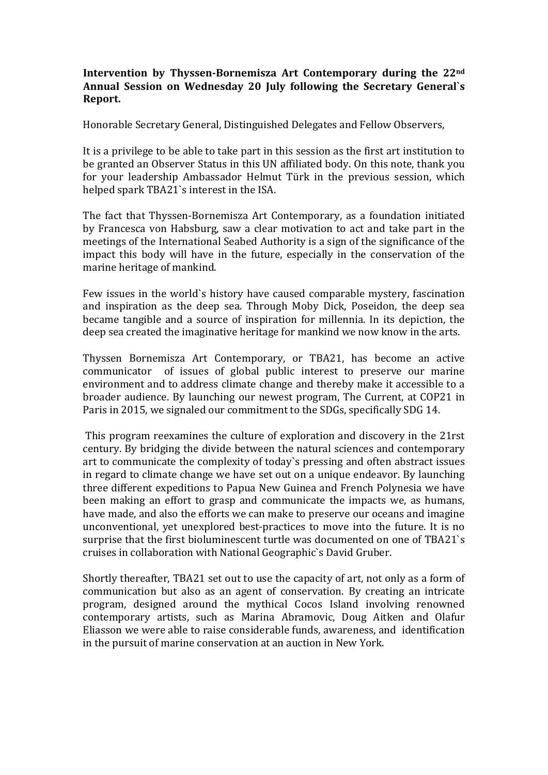## **Intervention by Thyssen-Bornemisza Art Contemporary during the 22<sup>nd</sup> Annual Session on Wednesday 20 July following the Secretary General`s Report.**

Honorable Secretary General, Distinguished Delegates and Fellow Observers,

It is a privilege to be able to take part in this session as the first art institution to be granted an Observer Status in this UN affiliated body. On this note, thank you for your leadership Ambassador Helmut Türk in the previous session, which helped spark TBA21`s interest in the ISA.

The fact that Thyssen-Bornemisza Art Contemporary, as a foundation initiated by Francesca von Habsburg, saw a clear motivation to act and take part in the meetings of the International Seabed Authority is a sign of the significance of the impact this body will have in the future, especially in the conservation of the marine heritage of mankind.

Few issues in the world's history have caused comparable mystery, fascination and inspiration as the deep sea. Through Moby Dick, Poseidon, the deep sea became tangible and a source of inspiration for millennia. In its depiction, the deep sea created the imaginative heritage for mankind we now know in the arts.

Thyssen Bornemisza Art Contemporary, or TBA21, has become an active communicator of issues of global public interest to preserve our marine environment and to address climate change and thereby make it accessible to a broader audience. By launching our newest program, The Current, at COP21 in Paris in 2015, we signaled our commitment to the SDGs, specifically SDG 14.

This program reexamines the culture of exploration and discovery in the 21rst century. By bridging the divide between the natural sciences and contemporary art to communicate the complexity of today's pressing and often abstract issues in regard to climate change we have set out on a unique endeavor. By launching three different expeditions to Papua New Guinea and French Polynesia we have been making an effort to grasp and communicate the impacts we, as humans, have made, and also the efforts we can make to preserve our oceans and imagine unconventional, vet unexplored best-practices to move into the future. It is no surprise that the first bioluminescent turtle was documented on one of TBA21`s cruises in collaboration with National Geographic's David Gruber.

Shortly thereafter, TBA21 set out to use the capacity of art, not only as a form of communication but also as an agent of conservation. By creating an intricate program, designed around the mythical Cocos Island involving renowned contemporary artists, such as Marina Abramovic, Doug Aitken and Olafur Eliasson we were able to raise considerable funds, awareness, and identification in the pursuit of marine conservation at an auction in New York.